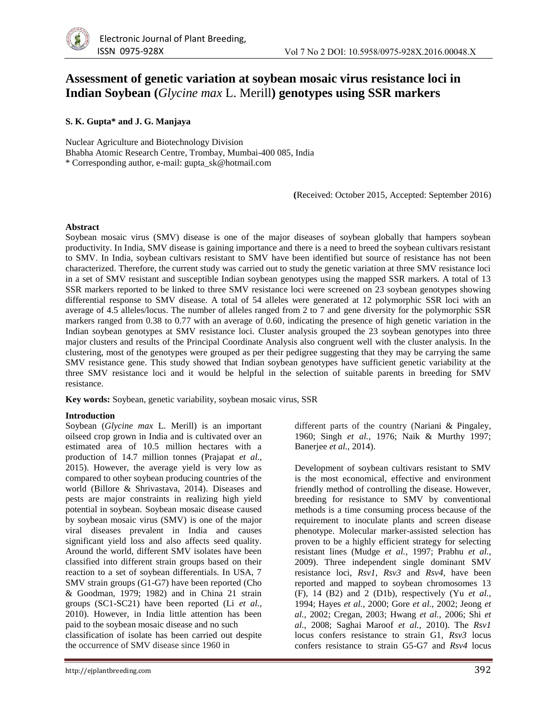# **Assessment of genetic variation at soybean mosaic virus resistance loci in Indian Soybean (***Glycine max* L. Merill**) genotypes using SSR markers**

### **S. K. Gupta\* and J. G. Manjaya**

Nuclear Agriculture and Biotechnology Division Bhabha Atomic Research Centre, Trombay, Mumbai-400 085, India \* Corresponding author, e-mail: gupta\_sk@hotmail.com

**(**Received: October 2015, Accepted: September 2016)

#### **Abstract**

Soybean mosaic virus (SMV) disease is one of the major diseases of soybean globally that hampers soybean productivity. In India, SMV disease is gaining importance and there is a need to breed the soybean cultivars resistant to SMV. In India, soybean cultivars resistant to SMV have been identified but source of resistance has not been characterized. Therefore, the current study was carried out to study the genetic variation at three SMV resistance loci in a set of SMV resistant and susceptible Indian soybean genotypes using the mapped SSR markers. A total of 13 SSR markers reported to be linked to three SMV resistance loci were screened on 23 soybean genotypes showing differential response to SMV disease. A total of 54 alleles were generated at 12 polymorphic SSR loci with an average of 4.5 alleles/locus. The number of alleles ranged from 2 to 7 and gene diversity for the polymorphic SSR markers ranged from 0.38 to 0.77 with an average of 0.60, indicating the presence of high genetic variation in the Indian soybean genotypes at SMV resistance loci. Cluster analysis grouped the 23 soybean genotypes into three major clusters and results of the Principal Coordinate Analysis also congruent well with the cluster analysis. In the clustering, most of the genotypes were grouped as per their pedigree suggesting that they may be carrying the same SMV resistance gene. This study showed that Indian soybean genotypes have sufficient genetic variability at the three SMV resistance loci and it would be helpful in the selection of suitable parents in breeding for SMV resistance.

**Key words:** Soybean, genetic variability, soybean mosaic virus, SSR

#### **Introduction**

Soybean (*Glycine max* L. Merill) is an important oilseed crop grown in India and is cultivated over an estimated area of 10.5 million hectares with a production of 14.7 million tonnes (Prajapat *et al.,* 2015). However, the average yield is very low as compared to other soybean producing countries of the world (Billore & Shrivastava, 2014). Diseases and pests are major constraints in realizing high yield potential in soybean. Soybean mosaic disease caused by soybean mosaic virus (SMV) is one of the major viral diseases prevalent in India and causes significant yield loss and also affects seed quality. Around the world, different SMV isolates have been classified into different strain groups based on their reaction to a set of soybean differentials. In USA, 7 SMV strain groups (G1-G7) have been reported (Cho & Goodman, 1979; 1982) and in China 21 strain groups (SC1-SC21) have been reported (Li *et al.,* 2010). However, in India little attention has been paid to the soybean mosaic disease and no such classification of isolate has been carried out despite the occurrence of SMV disease since 1960 in

different parts of the country (Nariani & Pingaley, 1960; Singh *et al.,* 1976; Naik & Murthy 1997; Banerjee *et al.,* 2014).

Development of soybean cultivars resistant to SMV is the most economical, effective and environment friendly method of controlling the disease. However, breeding for resistance to SMV by conventional methods is a time consuming process because of the requirement to inoculate plants and screen disease phenotype. Molecular marker-assisted selection has proven to be a highly efficient strategy for selecting resistant lines (Mudge *et al.,* 1997; Prabhu *et al.*, 2009). Three independent single dominant SMV resistance loci, *Rsv1*, *Rsv3* and *Rsv4*, have been reported and mapped to soybean chromosomes 13 (F), 14 (B2) and 2 (D1b), respectively (Yu *et al.,* 1994; Hayes *et al.,* 2000; Gore *et al.,* 2002; Jeong *et al.,* 2002; Cregan, 2003; Hwang *et al.,* 2006; Shi *et al.,* 2008; Saghai Maroof *et al.,* 2010). The *Rsv1* locus confers resistance to strain G1, *Rsv3* locus confers resistance to strain G5-G7 and *Rsv4* locus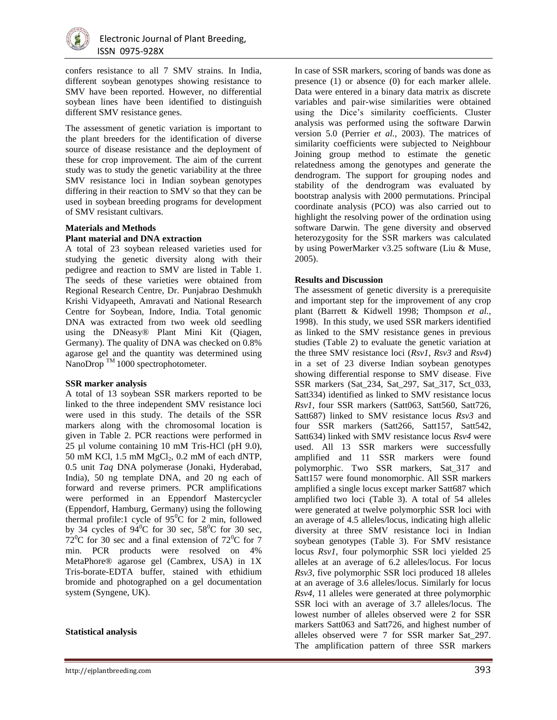

confers resistance to all 7 SMV strains. In India, different soybean genotypes showing resistance to SMV have been reported. However, no differential soybean lines have been identified to distinguish different SMV resistance genes.

The assessment of genetic variation is important to the plant breeders for the identification of diverse source of disease resistance and the deployment of these for crop improvement. The aim of the current study was to study the genetic variability at the three SMV resistance loci in Indian soybean genotypes differing in their reaction to SMV so that they can be used in soybean breeding programs for development of SMV resistant cultivars.

#### **Materials and Methods Plant material and DNA extraction**

A total of 23 soybean released varieties used for studying the genetic diversity along with their pedigree and reaction to SMV are listed in Table 1. The seeds of these varieties were obtained from Regional Research Centre, Dr. Punjabrao Deshmukh Krishi Vidyapeeth, Amravati and National Research Centre for Soybean, Indore, India. Total genomic DNA was extracted from two week old seedling using the DNeasy® Plant Mini Kit (Qiagen, Germany). The quality of DNA was checked on 0.8% agarose gel and the quantity was determined using NanoDrop<sup>TM</sup> 1000 spectrophotometer.

#### **SSR marker analysis**

A total of 13 soybean SSR markers reported to be linked to the three independent SMV resistance loci were used in this study. The details of the SSR markers along with the chromosomal location is given in Table 2. PCR reactions were performed in 25 µl volume containing 10 mM Tris-HCl (pH 9.0), 50 mM KCl, 1.5 mM  $MgCl<sub>2</sub>$ , 0.2 mM of each dNTP, 0.5 unit *Taq* DNA polymerase (Jonaki, Hyderabad, India), 50 ng template DNA, and 20 ng each of forward and reverse primers. PCR amplifications were performed in an Eppendorf Mastercycler (Eppendorf, Hamburg, Germany) using the following thermal profile:1 cycle of  $95^{\circ}$ C for 2 min, followed by 34 cycles of  $94^{\circ}$ C for 30 sec,  $58^{\circ}$ C for 30 sec,  $72^{\circ}$ C for 30 sec and a final extension of  $72^{\circ}$ C for 7 min. PCR products were resolved on 4% MetaPhore® agarose gel (Cambrex, USA) in 1X Tris-borate-EDTA buffer, stained with ethidium bromide and photographed on a gel documentation system (Syngene, UK).

#### **Statistical analysis**

http://ejplantbreeding.com 393

In case of SSR markers, scoring of bands was done as presence (1) or absence (0) for each marker allele. Data were entered in a binary data matrix as discrete variables and pair-wise similarities were obtained using the Dice's similarity coefficients. Cluster analysis was performed using the software Darwin version 5.0 (Perrier *et al.,* 2003). The matrices of similarity coefficients were subjected to Neighbour Joining group method to estimate the genetic relatedness among the genotypes and generate the dendrogram. The support for grouping nodes and stability of the dendrogram was evaluated by bootstrap analysis with 2000 permutations. Principal coordinate analysis (PCO) was also carried out to highlight the resolving power of the ordination using software Darwin. The gene diversity and observed heterozygosity for the SSR markers was calculated by using PowerMarker v3.25 software (Liu & Muse, 2005).

#### **Results and Discussion**

The assessment of genetic diversity is a prerequisite and important step for the improvement of any crop plant (Barrett & Kidwell 1998; Thompson *et al.,* 1998). In this study, we used SSR markers identified as linked to the SMV resistance genes in previous studies (Table 2) to evaluate the genetic variation at the three SMV resistance loci (*Rsv1*, *Rsv3* and *Rsv4*) in a set of 23 diverse Indian soybean genotypes showing differential response to SMV disease. Five SSR markers (Sat\_234, Sat\_297, Sat\_317, Sct\_033, Satt334) identified as linked to SMV resistance locus *Rsv1*, four SSR markers (Satt063, Satt560, Satt726, Satt687) linked to SMV resistance locus *Rsv3* and four SSR markers (Satt266, Satt157, Satt542, Satt634) linked with SMV resistance locus *Rsv4* were used. All 13 SSR markers were successfully amplified and 11 SSR markers were found polymorphic. Two SSR markers, Sat\_317 and Satt157 were found monomorphic. All SSR markers amplified a single locus except marker Satt687 which amplified two loci (Table 3). A total of 54 alleles were generated at twelve polymorphic SSR loci with an average of 4.5 alleles/locus, indicating high allelic diversity at three SMV resistance loci in Indian soybean genotypes (Table 3). For SMV resistance locus *Rsv1*, four polymorphic SSR loci yielded 25 alleles at an average of 6.2 alleles/locus. For locus *Rsv3*, five polymorphic SSR loci produced 18 alleles at an average of 3.6 alleles/locus. Similarly for locus *Rsv4*, 11 alleles were generated at three polymorphic SSR loci with an average of 3.7 alleles/locus. The lowest number of alleles observed were 2 for SSR markers Satt063 and Satt726, and highest number of alleles observed were 7 for SSR marker Sat\_297. The amplification pattern of three SSR markers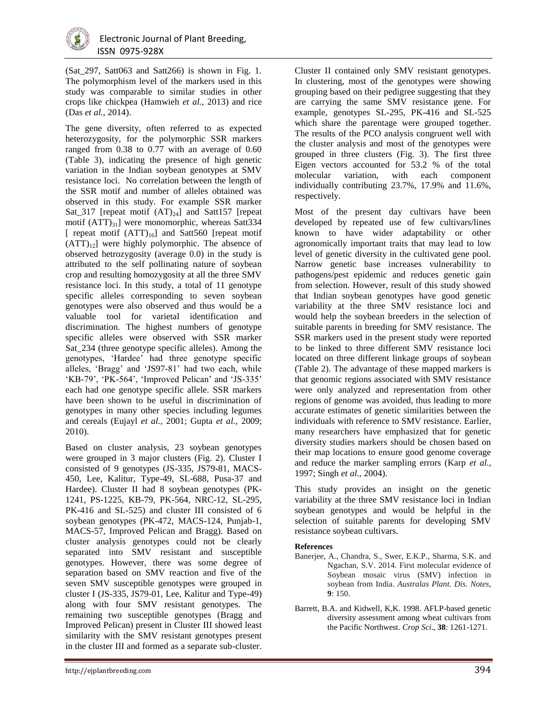

(Sat\_297, Satt063 and Satt266) is shown in Fig. 1. The polymorphism level of the markers used in this study was comparable to similar studies in other crops like chickpea (Hamwieh *et al.,* 2013) and rice (Das *et al.,* 2014).

The gene diversity, often referred to as expected heterozygosity, for the polymorphic SSR markers ranged from 0.38 to 0.77 with an average of 0.60 (Table 3), indicating the presence of high genetic variation in the Indian soybean genotypes at SMV resistance loci. No correlation between the length of the SSR motif and number of alleles obtained was observed in this study. For example SSR marker Sat\_317 [repeat motif  $(AT)_{24}$ ] and Satt157 [repeat motif  $(ATT)_{31}$ ] were monomorphic, whereas Satt 334 [ repeat motif  $(ATT)_{16}$ ] and Satt560 [repeat motif  $(ATT)_{12}$ ] were highly polymorphic. The absence of observed hetrozygosity (average 0.0) in the study is attributed to the self pollinating nature of soybean crop and resulting homozygosity at all the three SMV resistance loci. In this study, a total of 11 genotype specific alleles corresponding to seven soybean genotypes were also observed and thus would be a valuable tool for varietal identification and discrimination. The highest numbers of genotype specific alleles were observed with SSR marker Sat\_234 (three genotype specific alleles). Among the genotypes, 'Hardee' had three genotype specific alleles, 'Bragg' and 'JS97-81' had two each, while 'KB-79', 'PK-564', 'Improved Pelican' and 'JS-335' each had one genotype specific allele. SSR markers have been shown to be useful in discrimination of genotypes in many other species including legumes and cereals (Eujayl *et al.,* 2001; Gupta *et al.,* 2009; 2010).

Based on cluster analysis, 23 soybean genotypes were grouped in 3 major clusters (Fig. 2). Cluster I consisted of 9 genotypes (JS-335, JS79-81, MACS-450, Lee, Kalitur, Type-49, SL-688, Pusa-37 and Hardee). Cluster II had 8 soybean genotypes (PK-1241, PS-1225, KB-79, PK-564, NRC-12, SL-295, PK-416 and SL-525) and cluster III consisted of 6 soybean genotypes (PK-472, MACS-124, Punjab-1, MACS-57, Improved Pelican and Bragg). Based on cluster analysis genotypes could not be clearly separated into SMV resistant and susceptible genotypes. However, there was some degree of separation based on SMV reaction and five of the seven SMV susceptible genotypes were grouped in cluster I (JS-335, JS79-01, Lee, Kalitur and Type-49) along with four SMV resistant genotypes. The remaining two susceptible genotypes (Bragg and Improved Pelican) present in Cluster III showed least similarity with the SMV resistant genotypes present in the cluster III and formed as a separate sub-cluster.

Cluster II contained only SMV resistant genotypes. In clustering, most of the genotypes were showing grouping based on their pedigree suggesting that they are carrying the same SMV resistance gene. For example, genotypes SL-295, PK-416 and SL-525 which share the parentage were grouped together. The results of the PCO analysis congruent well with the cluster analysis and most of the genotypes were grouped in three clusters (Fig. 3). The first three Eigen vectors accounted for 53.2 % of the total molecular variation, with each component individually contributing 23.7%, 17.9% and 11.6%, respectively.

Most of the present day cultivars have been developed by repeated use of few cultivars/lines known to have wider adaptability or other agronomically important traits that may lead to low level of genetic diversity in the cultivated gene pool. Narrow genetic base increases vulnerability to pathogens/pest epidemic and reduces genetic gain from selection. However, result of this study showed that Indian soybean genotypes have good genetic variability at the three SMV resistance loci and would help the soybean breeders in the selection of suitable parents in breeding for SMV resistance. The SSR markers used in the present study were reported to be linked to three different SMV resistance loci located on three different linkage groups of soybean (Table 2). The advantage of these mapped markers is that genomic regions associated with SMV resistance were only analyzed and representation from other regions of genome was avoided, thus leading to more accurate estimates of genetic similarities between the individuals with reference to SMV resistance. Earlier, many researchers have emphasized that for genetic diversity studies markers should be chosen based on their map locations to ensure good genome coverage and reduce the marker sampling errors (Karp *et al.,* 1997; Singh *et al.,* 2004).

This study provides an insight on the genetic variability at the three SMV resistance loci in Indian soybean genotypes and would be helpful in the selection of suitable parents for developing SMV resistance soybean cultivars.

#### **References**

- Banerjee, A., Chandra, S., Swer, E.K.P., Sharma, S.K. and Ngachan, S.V. 2014. First molecular evidence of Soybean mosaic virus (SMV) infection in soybean from India. *Australas Plant. Dis. Notes*, **9**: 150.
- Barrett, B.A. and Kidwell, K,K. 1998. AFLP-based genetic diversity assessment among wheat cultivars from the Pacific Northwest. *Crop Sci*., **38**: 1261-1271.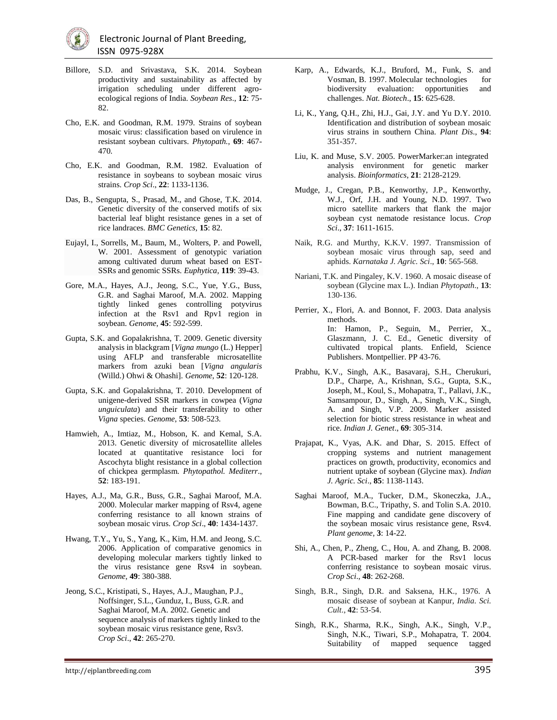- Billore, S.D. and Srivastava, S.K. 2014. Soybean productivity and sustainability as affected by irrigation scheduling under different agroecological regions of India. *Soybean Res*., **12**: 75- 82.
- Cho, E.K. and Goodman, R.M. 1979. Strains of soybean mosaic virus: classification based on virulence in resistant soybean cultivars. *Phytopath.*, **69**: 467- 470.
- Cho, E.K. and Goodman, R.M. 1982. Evaluation of resistance in soybeans to soybean mosaic virus strains. *Crop Sci*., **22**: 1133-1136.
- Das, B., Sengupta, S., Prasad, M., and Ghose, T.K. 2014. Genetic diversity of the conserved motifs of six bacterial leaf blight resistance genes in a set of rice landraces. *BMC Genetics,* **15**: 82.
- Eujayl, I., Sorrells, M., Baum, M., Wolters, P. and Powell, W. 2001. Assessment of genotypic variation among cultivated durum wheat based on EST-SSRs and genomic SSRs. *Euphytica,* **119**: 39-43.
- Gore, M.A., Hayes, A.J., Jeong, S.C., Yue, Y.G., Buss, G.R. and Saghai Maroof, M.A. 2002. Mapping tightly linked genes controlling potyvirus infection at the Rsv1 and Rpv1 region in soybean. *Genome*, **45**: 592-599.
- Gupta, S.K. and Gopalakrishna, T. 2009. Genetic diversity analysis in blackgram [*Vigna mungo* (L.) Hepper] using AFLP and transferable microsatellite markers from azuki bean [*Vigna angularis* (Willd.) Ohwi & Ohashi]. *Genome*, **52**: 120-128.
- Gupta, S.K. and Gopalakrishna, T. 2010. Development of unigene-derived SSR markers in cowpea (*Vigna unguiculata*) and their transferability to other *Vigna* species. *Genome*, **53**: 508-523.
- Hamwieh, A., Imtiaz, M., Hobson, K. and Kemal, S.A. 2013. Genetic diversity of microsatellite alleles located at quantitative resistance loci for Ascochyta blight resistance in a global collection of chickpea germplasm. *Phytopathol. Mediterr*., **52**: 183-191.
- Hayes, A.J., Ma, G.R., Buss, G.R., Saghai Maroof, M.A. 2000. Molecular marker mapping of Rsv4, agene conferring resistance to all known strains of soybean mosaic virus. *Crop Sci*., **40**: 1434-1437.
- Hwang, T.Y., Yu, S., Yang, K., Kim, H.M. and Jeong, S.C. 2006. Application of comparative genomics in developing molecular markers tightly linked to the virus resistance gene Rsv4 in soybean. *Genome*, **49**: 380-388.
- Jeong, S.C., Kristipati, S., Hayes, A.J., Maughan, P.J., Noffsinger, S.L., Gunduz, I., Buss, G.R. and Saghai Maroof, M.A. 2002. Genetic and sequence analysis of markers tightly linked to the soybean mosaic virus resistance gene, Rsv3. *Crop Sci*., **42**: 265-270.
- Karp, A., Edwards, K.J., Bruford, M., Funk, S. and Vosman, B. 1997. Molecular technologies for biodiversity evaluation: opportunities and challenges. *Nat. Biotech*., **15**: 625-628.
- Li, K., Yang, Q.H., Zhi, H.J., Gai, J.Y. and Yu D.Y. 2010. Identification and distribution of soybean mosaic virus strains in southern China. *Plant Dis*., **94**: 351-357.
- [Liu,](http://bioinformatics.oxfordjournals.org/search?author1=Kejun+Liu&sortspec=date&submit=Submit) K. and Muse, [S.V.](http://bioinformatics.oxfordjournals.org/search?author1=Spencer+V.+Muse&sortspec=date&submit=Submit) 2005. PowerMarker:an integrated analysis environment for genetic marker analysis. *[Bioinformatics](http://bioinformatics.oxfordjournals.org/)*, **21**: 2128-2129.
- Mudge, J., Cregan, P.B., Kenworthy, J.P., Kenworthy, W.J., Orf, J.H. and Young, N.D. 1997. Two micro satellite markers that flank the major soybean cyst nematode resistance locus. *Crop Sci*., **37**: 1611-1615.
- Naik, R.G. and Murthy, K.K.V. 1997. Transmission of soybean mosaic virus through sap, seed and aphids. *Karnataka J. Agric. Sci*., **10**: 565-568.
- Nariani, T.K. and Pingaley, K.V. 1960. A mosaic disease of soybean (Glycine max L.). Indian *Phytopath*., **13**: 130-136.
- Perrier, X., Flori, A. and Bonnot, F. 2003. Data analysis methods. In: Hamon, P., Seguin, M., Perrier, X., Glaszmann, J. C. Ed., Genetic diversity of cultivated tropical plants. Enfield, Science Publishers. Montpellier. PP 43-76.
- Prabhu, K.V., Singh, A.K., Basavaraj, S.H., Cherukuri, D.P., Charpe, A., Krishnan, S.G., Gupta, S.K., Joseph, M., Koul, S., Mohapatra, T., Pallavi, J.K., Samsampour, D., Singh, A., Singh, V.K., Singh, A. and Singh, V.P. 2009. Marker assisted selection for biotic stress resistance in wheat and rice. *Indian J. Genet*., **69**: 305-314.
- Prajapat, K., Vyas, A.K. and Dhar, S. 2015. Effect of cropping systems and nutrient management practices on growth, productivity, economics and nutrient uptake of soybean (Glycine max). *Indian J. Agric. Sci*., **85**: 1138-1143.
- Saghai Maroof, M.A., Tucker, D.M., Skoneczka, J.A., Bowman, B.C., Tripathy, S. and Tolin S.A. 2010. Fine mapping and candidate gene discovery of the soybean mosaic virus resistance gene, Rsv4. *Plant genome*, **3**: 14-22.
- Shi, A., Chen, P., Zheng, C., Hou, A. and Zhang, B. 2008. A PCR-based marker for the Rsv1 locus conferring resistance to soybean mosaic virus. *Crop Sci*., **48**: 262-268.
- Singh, B.R., Singh, D.R. and Saksena, H.K., 1976. A mosaic disease of soybean at Kanpur, *India. Sci. Cult*., **42**: 53-54.
- Singh, R.K., Sharma, R.K., Singh, A.K., Singh, V.P., Singh, N.K., Tiwari, S.P., Mohapatra, T. 2004. Suitability of mapped sequence tagged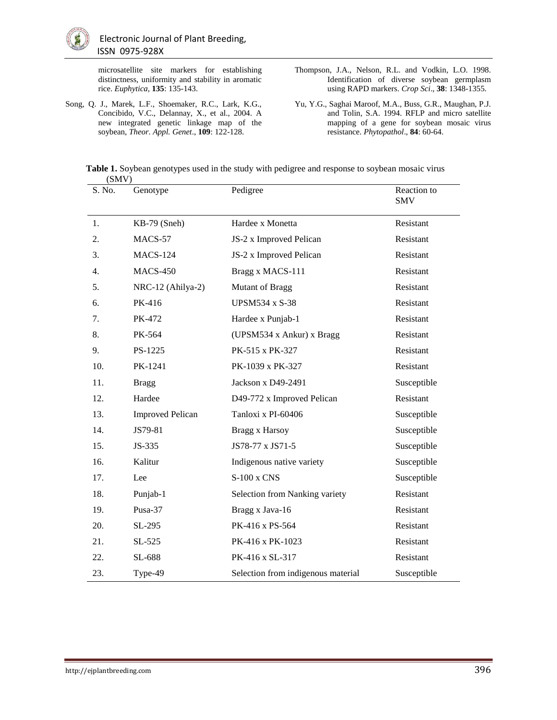microsatellite site markers for establishing distinctness, uniformity and stability in aromatic rice. *Euphytica*, **135**: 135-143.

- Song, Q. J., Marek, L.F., Shoemaker, R.C., Lark, K.G., Concibido, V.C., Delannay, X., et al., 2004. A new integrated genetic linkage map of the soybean, *Theor. Appl. Genet*., **109**: 122-128.
- Thompson, J.A., Nelson, R.L. and Vodkin, L.O. 1998. Identification of diverse soybean germplasm using RAPD markers. *Crop Sci*., **38**: 1348-1355.
- Yu, Y.G., Saghai Maroof, M.A., Buss, G.R., Maughan, P.J. and Tolin, S.A. 1994. RFLP and micro satellite mapping of a gene for soybean mosaic virus resistance. *Phytopathol*., **84**: 60-64.

**Table 1.** Soybean genotypes used in the study with pedigree and response to soybean mosaic virus (SMV)

| S. No. | Genotype                | Pedigree                           | Reaction to<br><b>SMV</b> |
|--------|-------------------------|------------------------------------|---------------------------|
| 1.     | KB-79 (Sneh)            | Hardee x Monetta                   | Resistant                 |
| 2.     | MACS-57                 | JS-2 x Improved Pelican            | Resistant                 |
| 3.     | <b>MACS-124</b>         | JS-2 x Improved Pelican            | Resistant                 |
| 4.     | <b>MACS-450</b>         | Bragg x MACS-111                   | Resistant                 |
| 5.     | NRC-12 (Ahilya-2)       | <b>Mutant of Bragg</b>             | Resistant                 |
| 6.     | PK-416                  | <b>UPSM534 x S-38</b>              | Resistant                 |
| 7.     | PK-472                  | Hardee x Punjab-1                  | Resistant                 |
| 8.     | PK-564                  | (UPSM534 x Ankur) x Bragg          | Resistant                 |
| 9.     | PS-1225                 | PK-515 x PK-327                    | Resistant                 |
| 10.    | PK-1241                 | PK-1039 x PK-327                   | Resistant                 |
| 11.    | <b>Bragg</b>            | Jackson x D49-2491                 | Susceptible               |
| 12.    | Hardee                  | D49-772 x Improved Pelican         | Resistant                 |
| 13.    | <b>Improved Pelican</b> | Tanloxi x PI-60406                 | Susceptible               |
| 14.    | JS79-81                 | Bragg x Harsoy                     | Susceptible               |
| 15.    | JS-335                  | JS78-77 x JS71-5                   | Susceptible               |
| 16.    | Kalitur                 | Indigenous native variety          | Susceptible               |
| 17.    | Lee                     | S-100 x CNS                        | Susceptible               |
| 18.    | Punjab-1                | Selection from Nanking variety     | Resistant                 |
| 19.    | Pusa-37                 | Bragg x Java-16                    | Resistant                 |
| 20.    | SL-295                  | PK-416 x PS-564                    | Resistant                 |
| 21.    | $SL-525$                | PK-416 x PK-1023                   | Resistant                 |
| 22.    | SL-688                  | PK-416 x SL-317                    | Resistant                 |
| 23.    | Type-49                 | Selection from indigenous material | Susceptible               |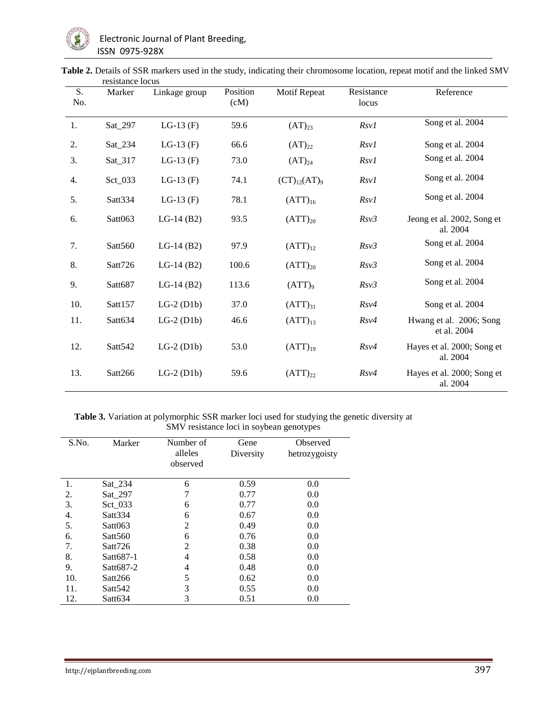| S.  | resistance rocus<br>Marker | Linkage group | Position | <b>Motif Repeat</b> | Resistance | Reference                              |
|-----|----------------------------|---------------|----------|---------------------|------------|----------------------------------------|
| No. |                            |               | (cM)     |                     | locus      |                                        |
| 1.  | Sat_297                    | LG-13 $(F)$   | 59.6     | $(AT)_{23}$         | Rsv1       | Song et al. 2004                       |
| 2.  | Sat_234                    | LG-13 $(F)$   | 66.6     | $(AT)_{22}$         | Rsv1       | Song et al. 2004                       |
| 3.  | Sat_317                    | LG-13 $(F)$   | 73.0     | $(AT)_{24}$         | Rsv1       | Song et al. 2004                       |
| 4.  | Sct_033                    | LG-13 $(F)$   | 74.1     | $(CT)_{12}(AT)_{9}$ | Rsv1       | Song et al. 2004                       |
| 5.  | Satt334                    | LG-13 $(F)$   | 78.1     | $(ATT)_{16}$        | Rsv1       | Song et al. 2004                       |
| 6.  | Satt063                    | $LG-14(B2)$   | 93.5     | $(ATT)_{20}$        | Rsv3       | Jeong et al. 2002, Song et<br>al. 2004 |
| 7.  | Satt560                    | $LG-14(B2)$   | 97.9     | $(ATT)_{12}$        | Rsv3       | Song et al. 2004                       |
| 8.  | Satt726                    | $LG-14(B2)$   | 100.6    | $(ATT)_{20}$        | Rsv3       | Song et al. 2004                       |
| 9.  | Satt687                    | $LG-14(B2)$   | 113.6    | $(ATT)_{9}$         | Rsv3       | Song et al. 2004                       |
| 10. | Satt157                    | $LG-2$ (D1b)  | 37.0     | $(ATT)_{31}$        | $Rs\nu4$   | Song et al. 2004                       |
| 11. | Satt634                    | $LG-2$ (D1b)  | 46.6     | $(ATT)_{13}$        | $Rs\nu4$   | Hwang et al. 2006; Song<br>et al. 2004 |
| 12. | Satt <sub>542</sub>        | $LG-2$ (D1b)  | 53.0     | $(ATT)_{19}$        | $Rs\nu4$   | Hayes et al. 2000; Song et<br>al. 2004 |
| 13. | Satt266                    | $LG-2$ (D1b)  | 59.6     | $(ATT)_{22}$        | $Rs\nu4$   | Hayes et al. 2000; Song et<br>al. 2004 |

Table 2. Details of SSR markers used in the study, indicating their chromosome location, repeat motif and the linked SMV resistance locus

**Table 3.** Variation at polymorphic SSR marker loci used for studying the genetic diversity at SMV resistance loci in soybean genotypes

| S.No. | Marker              | Number of<br>alleles<br>observed | Gene<br>Diversity | Observed<br>hetrozygoisty |
|-------|---------------------|----------------------------------|-------------------|---------------------------|
| 1.    | $Sat_234$           | 6                                | 0.59              | 0.0                       |
| 2.    | Sat 297             | 7                                | 0.77              | 0.0                       |
| 3.    | $\text{Sct}\_033$   | 6                                | 0.77              | 0.0                       |
| 4.    | Satt <sub>334</sub> | 6                                | 0.67              | 0.0                       |
| 5.    | Sat063              | $\overline{2}$                   | 0.49              | 0.0                       |
| 6.    | Satt <sub>560</sub> | 6                                | 0.76              | 0.0                       |
| 7.    | Satt726             | $\overline{2}$                   | 0.38              | 0.0                       |
| 8.    | Satt687-1           | 4                                | 0.58              | 0.0                       |
| 9.    | Satt687-2           | 4                                | 0.48              | 0.0                       |
| 10.   | Satt266             | 5                                | 0.62              | 0.0                       |
| 11.   | Satt <sub>542</sub> | 3                                | 0.55              | 0.0                       |
| 12.   | Satt634             | 3                                | 0.51              | 0.0                       |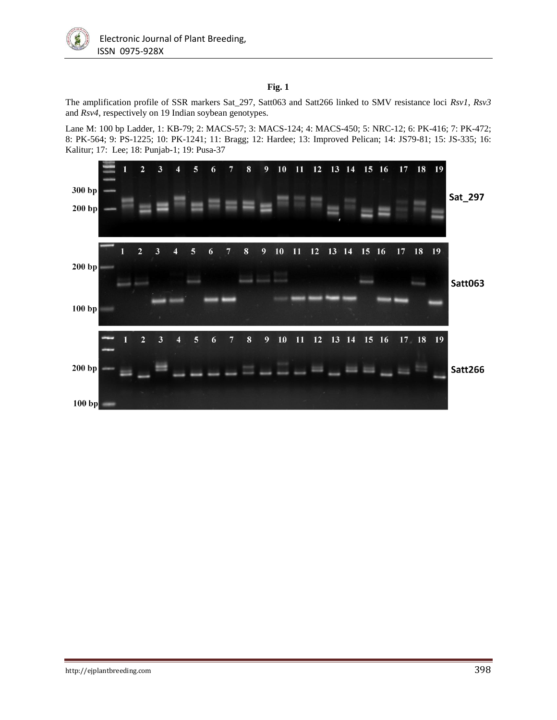

## **Fig. 1**

The amplification profile of SSR markers Sat\_297, Satt063 and Satt266 linked to SMV resistance loci *Rsv1*, *Rsv3* and *Rsv4*, respectively on 19 Indian soybean genotypes.

Lane M: 100 bp Ladder, 1: KB-79; 2: MACS-57; 3: MACS-124; 4: MACS-450; 5: NRC-12; 6: PK-416; 7: PK-472; 8: PK-564; 9: PS-1225; 10: PK-1241; 11: Bragg; 12: Hardee; 13: Improved Pelican; 14: JS79-81; 15: JS-335; 16: Kalitur; 17: Lee; 18: Punjab-1; 19: Pusa-37

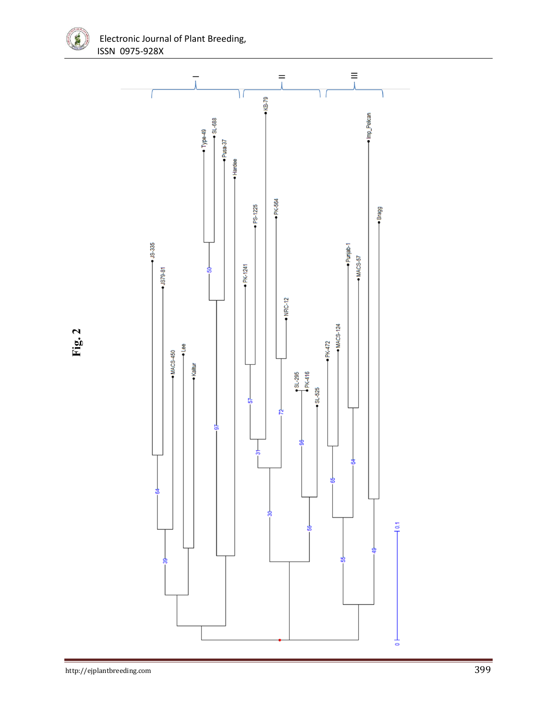